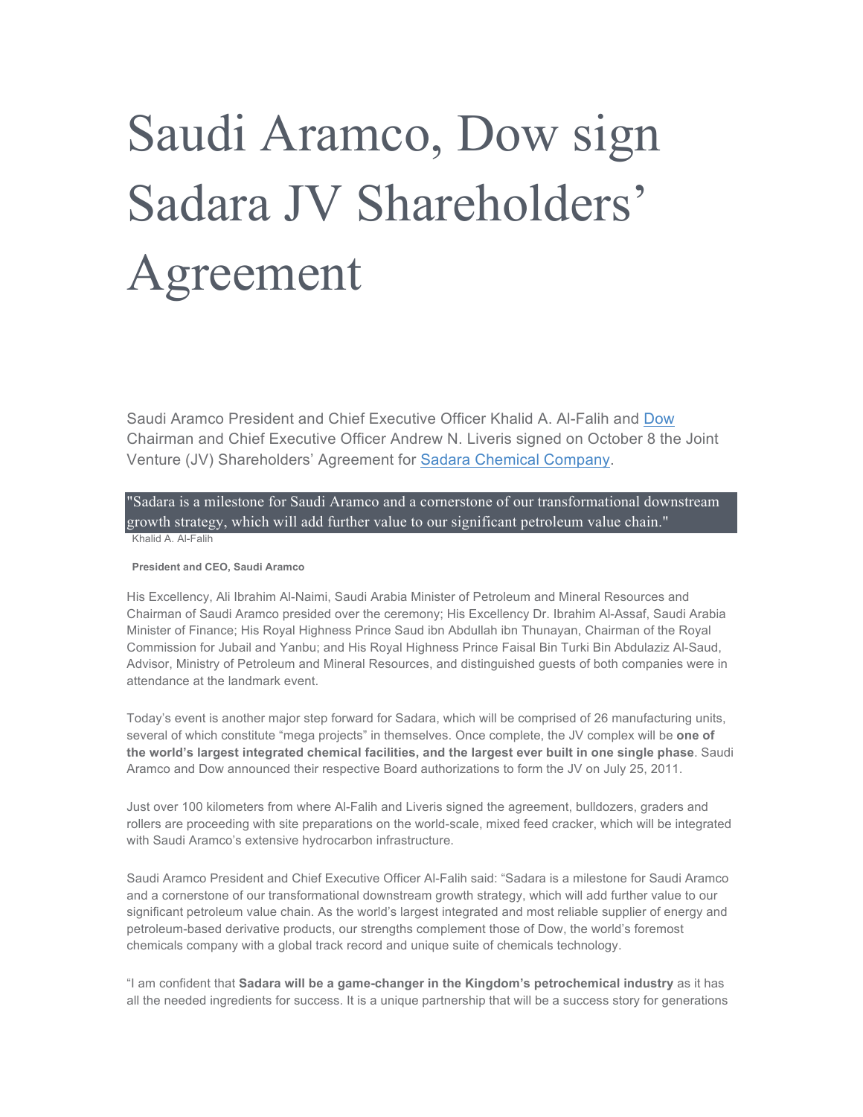## Saudi Aramco, Dow sign Sadara JV Shareholders' Agreement

Saudi Aramco President and Chief Executive Officer Khalid A. Al-Falih and Dow Chairman and Chief Executive Officer Andrew N. Liveris signed on October 8 the Joint Venture (JV) Shareholders' Agreement for Sadara Chemical Company.

"Sadara is a milestone for Saudi Aramco and a cornerstone of our transformational downstream growth strategy, which will add further value to our significant petroleum value chain." Khalid A. Al-Falih

## **President and CEO, Saudi Aramco**

His Excellency, Ali Ibrahim Al-Naimi, Saudi Arabia Minister of Petroleum and Mineral Resources and Chairman of Saudi Aramco presided over the ceremony; His Excellency Dr. Ibrahim Al-Assaf, Saudi Arabia Minister of Finance; His Royal Highness Prince Saud ibn Abdullah ibn Thunayan, Chairman of the Royal Commission for Jubail and Yanbu; and His Royal Highness Prince Faisal Bin Turki Bin Abdulaziz Al-Saud, Advisor, Ministry of Petroleum and Mineral Resources, and distinguished guests of both companies were in attendance at the landmark event.

Today's event is another major step forward for Sadara, which will be comprised of 26 manufacturing units, several of which constitute "mega projects" in themselves. Once complete, the JV complex will be **one of the world's largest integrated chemical facilities, and the largest ever built in one single phase**. Saudi Aramco and Dow announced their respective Board authorizations to form the JV on July 25, 2011.

Just over 100 kilometers from where Al-Falih and Liveris signed the agreement, bulldozers, graders and rollers are proceeding with site preparations on the world-scale, mixed feed cracker, which will be integrated with Saudi Aramco's extensive hydrocarbon infrastructure.

Saudi Aramco President and Chief Executive Officer Al-Falih said: "Sadara is a milestone for Saudi Aramco and a cornerstone of our transformational downstream growth strategy, which will add further value to our significant petroleum value chain. As the world's largest integrated and most reliable supplier of energy and petroleum-based derivative products, our strengths complement those of Dow, the world's foremost chemicals company with a global track record and unique suite of chemicals technology.

"I am confident that **Sadara will be a game-changer in the Kingdom's petrochemical industry** as it has all the needed ingredients for success. It is a unique partnership that will be a success story for generations